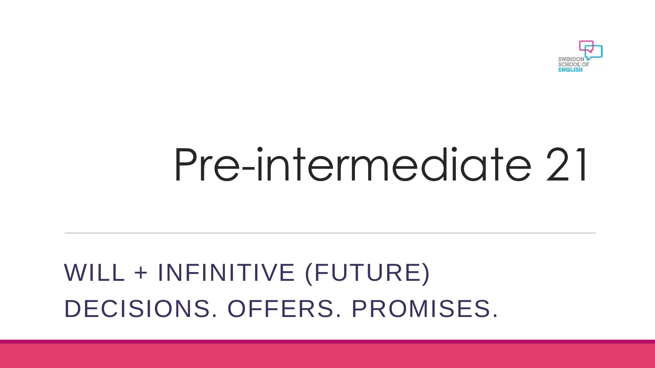

# Pre-intermediate 21

## WILL + INFINITIVE (FUTURE) DECISIONS. OFFERS. PROMISES.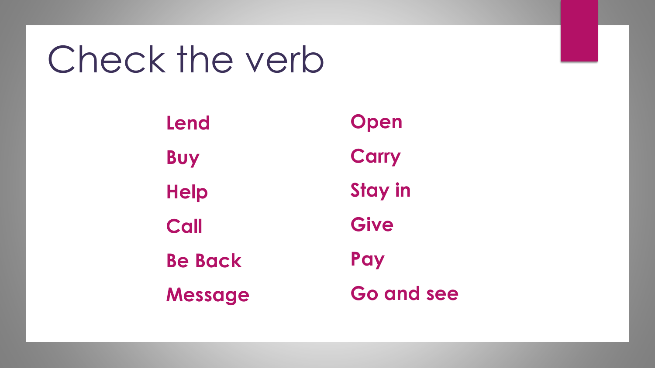## Check the verb

**Lend Buy Help Call Be Back Message Open Carry Stay in Give Pay Go and see**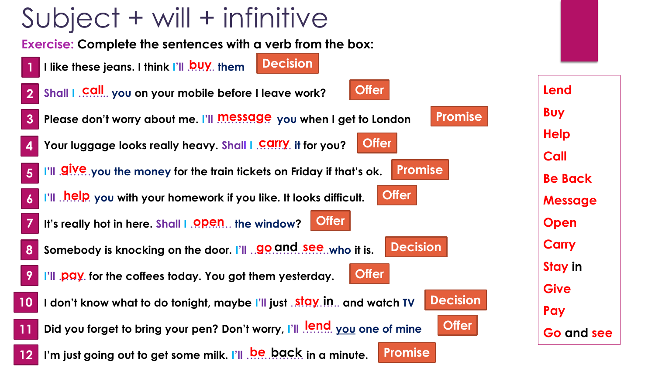## Subject + will + infinitive

**Exercise: Complete the sentences with a verb from the box:**

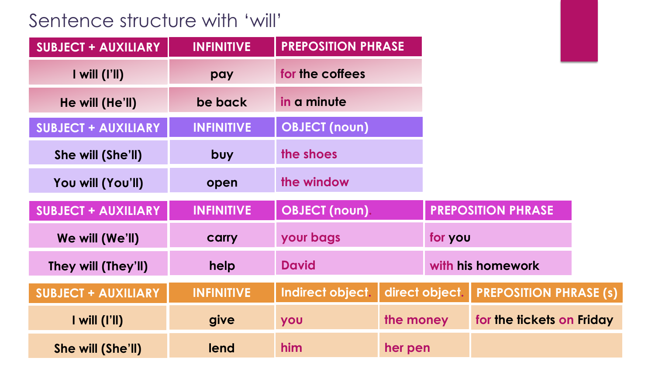### Sentence structure with 'will'

| <b>SUBJECT + AUXILIARY</b>                   | <b>INFINITIVE</b> | <b>PREPOSITION PHRASE</b> |                |                               |  |
|----------------------------------------------|-------------------|---------------------------|----------------|-------------------------------|--|
| $I$ will $(I'll)$                            | pay               | for the coffees           |                |                               |  |
| He will (He'll)                              | be back           | in a minute               |                |                               |  |
| <b>SUBJECT + AUXILIARY</b>                   | <b>INFINITIVE</b> | <b>OBJECT (noun)</b>      |                |                               |  |
| She will (She'll)                            | buy               | the shoes                 |                |                               |  |
| You will (You'll)                            | open              | the window                |                |                               |  |
| <b>SUBJECT + AUXILIARY</b>                   | <b>INFINITIVE</b> | <b>OBJECT</b> (noun).     |                | <b>PREPOSITION PHRASE</b>     |  |
| We will (We'll)                              | carry             | your bags                 |                | for you                       |  |
| They will (They'll)                          | help              | <b>David</b>              |                | with his homework             |  |
| <b>SUBJECT + AUXILIARY</b>                   | <b>INFINITIVE</b> | Indirect object.          | direct object. | <b>PREPOSITION PHRASE (s)</b> |  |
| $\mathsf{I}$ will $(\mathsf{I}'\mathsf{II})$ | give              | you                       | the money      | for the fickets on Friday     |  |
| She will (She'll)                            | lend              | him                       | her pen        |                               |  |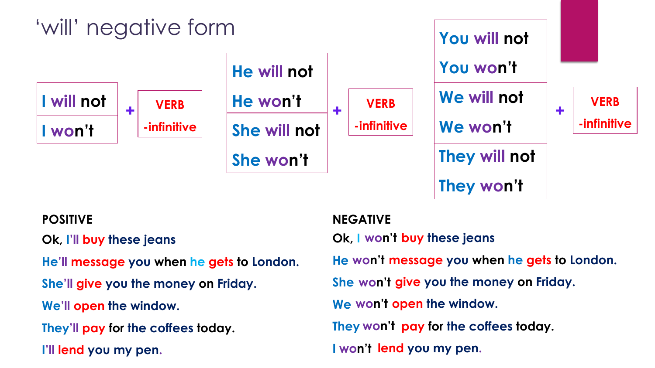

**Ok, I'll buy these jeans** 

**He'll message you when he gets to London.**

**She'll give you the money on Friday.**

**We'll open the window.**

**They'll pay for the coffees today.**

**I'll lend you my pen.**

#### **POSITIVE NEGATIVE**

**Ok, I won't buy these jeans** 

**He won't message you when he gets to London.**

**She won't give you the money on Friday.**

**We won't open the window.**

**They won't pay for the coffees today.**

**I won't lend you my pen.**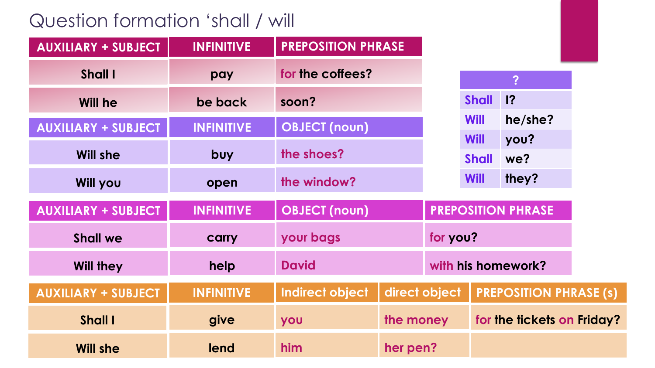### Question formation 'shall / will

| <b>AUXILIARY + SUBJECT</b> | <b>INFINITIVE</b> | <b>PREPOSITION PHRASE</b> |               |          |                            |                               |  |
|----------------------------|-------------------|---------------------------|---------------|----------|----------------------------|-------------------------------|--|
| Shall I                    | pay               | for the coffees?          |               |          |                            | $\overline{?}$                |  |
| <b>Will he</b>             | be back           | soon?                     |               |          | <b>Shall</b>               | ?                             |  |
| <b>AUXILIARY + SUBJECT</b> | <b>INFINITIVE</b> | <b>OBJECT</b> (noun)      |               |          | <b>Will</b>                | he/she?                       |  |
|                            |                   |                           |               |          | <b>Will</b>                | you?                          |  |
| <b>Will she</b>            | buy               | the shoes?                |               |          | <b>Shall</b>               | we?                           |  |
| <b>Will you</b>            | open              | the window?               |               |          | Will                       | they?                         |  |
| <b>AUXILIARY + SUBJECT</b> | <b>INFINITIVE</b> | <b>OBJECT</b> (noun)      |               |          |                            | <b>PREPOSITION PHRASE</b>     |  |
| <b>Shall we</b>            | carry             | your bags                 |               | for you? |                            |                               |  |
| <b>Will they</b>           | help              | <b>David</b>              |               |          | with his homework?         |                               |  |
| <b>AUXILIARY + SUBJECT</b> | <b>INFINITIVE</b> | Indirect object           | direct object |          |                            | <b>PREPOSITION PHRASE (s)</b> |  |
| Shall I                    | give              | you                       | the money     |          | for the tickets on Friday? |                               |  |
| <b>Will she</b>            | lend              | him                       | her pen?      |          |                            |                               |  |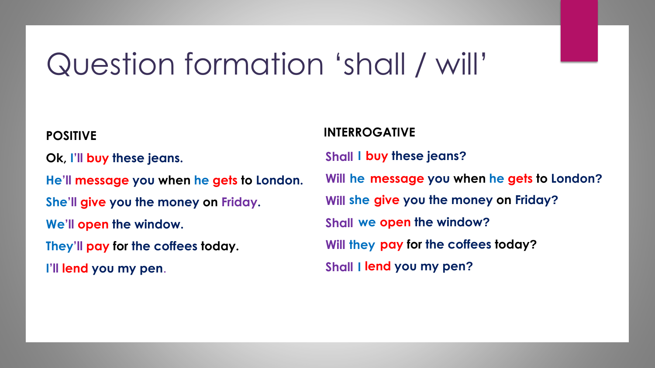## Question formation 'shall / will'

**Ok, I'll buy these jeans.** 

**He'll message you when he gets to London.**

**She'll give you the money on Friday.**

**We'll open the window.**

**They'll pay for the coffees today.**

**I'll lend you my pen**.

#### **INTERROGATIVE POSITIVE**

**Shall I buy these jeans? Will he message you when he gets to London? Will she give you the money on Friday? Shall we open the window? Will they pay for the coffees today? Shall I lend you my pen?**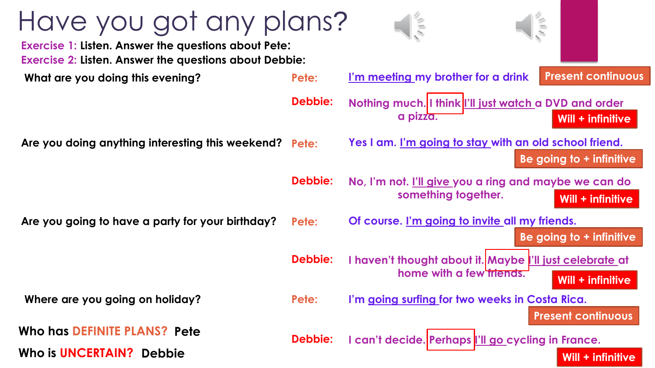| Have you got any plans?<br><b>Exercise 1: Listen. Answer the questions about Pete:</b> |                | $\leq$<br>$\sqrt{1+\ell}$                                                                                 |
|----------------------------------------------------------------------------------------|----------------|-----------------------------------------------------------------------------------------------------------|
| <b>Exercise 2: Listen. Answer the questions about Debbie:</b>                          |                |                                                                                                           |
| What are you doing this evening?                                                       | Pete:          | <b>Present continuous</b><br>I'm meeting my brother for a drink                                           |
|                                                                                        | <b>Debbie:</b> | Nothing much. I think  'll just watch a DVD and order<br>a pizza.<br>Will + infinitive                    |
| Are you doing anything interesting this weekend? Pete:                                 |                | Yes I am. I'm going to stay with an old school friend.<br>Be going to + infinitive                        |
|                                                                                        | <b>Debbie:</b> | No, I'm not. <u>I'll give you a ring and maybe we can do</u><br>something together.<br>Will + infinitive  |
| Are you going to have a party for your birthday?                                       | Pete:          | Of course. I'm going to invite all my friends.<br>Be going to + infinitive                                |
|                                                                                        | <b>Debbie:</b> | I haven't thought about it. Maybe I'll just celebrate at<br>home with a few friends.<br>Will + infinitive |
| Where are you going on holiday?                                                        | Pete:          | I'm going surfing for two weeks in Costa Rica.                                                            |
| Who has DEFINITE PLANS? Pete<br>Who is UNCERTAIN? Debbie                               | <b>Debbie:</b> | <b>Present continuous</b><br>I can't decide. Perhaps l'Il go cycling in France.<br>Will + infinitive      |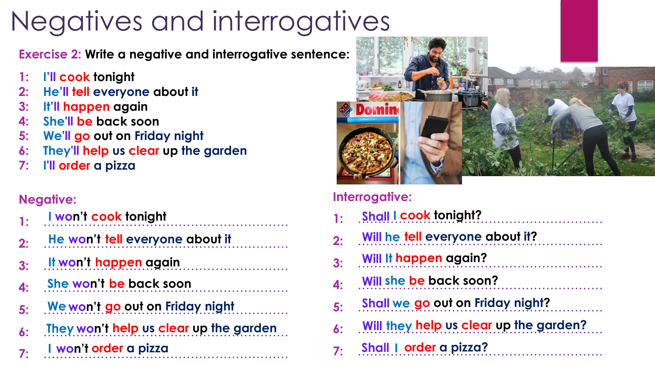## Negatives and interrogatives

**Exercise 2: Write a negative and interrogative sentence:**

- **1: I'll cook tonight**
- **2: He'll tell everyone about it**
- **3: It'll happen again**
- **4: She'll be back soon**
- **5: We'll go out on Friday night**
- **6: They'll help us clear up the garden**
- **7: I'll order a pizza**

#### **Negative:**

| 1: | I won't cook tonight                   |
|----|----------------------------------------|
| 2: | He won't tell everyone about it        |
| 3: | It won't happen again                  |
| 4: | She won't be back soon                 |
| 5: | We won't go out on Friday night        |
| 6: | They won't help us clear up the garden |
| 7: | I won't order a pizza                  |



#### **Interrogative:**

| $\mathbf{1}$ : | <b>Shall I cook tonight?</b>            |
|----------------|-----------------------------------------|
| 2:             | Will he tell everyone about it?         |
| 3:             | Will It happen again?                   |
| 4:             | Will she be back soon?                  |
| 5:             | <b>Shall we go out on Friday night?</b> |
| 6:             | Will they help us clear up the garden?  |
| 7:             | Shall I order a pizza?                  |